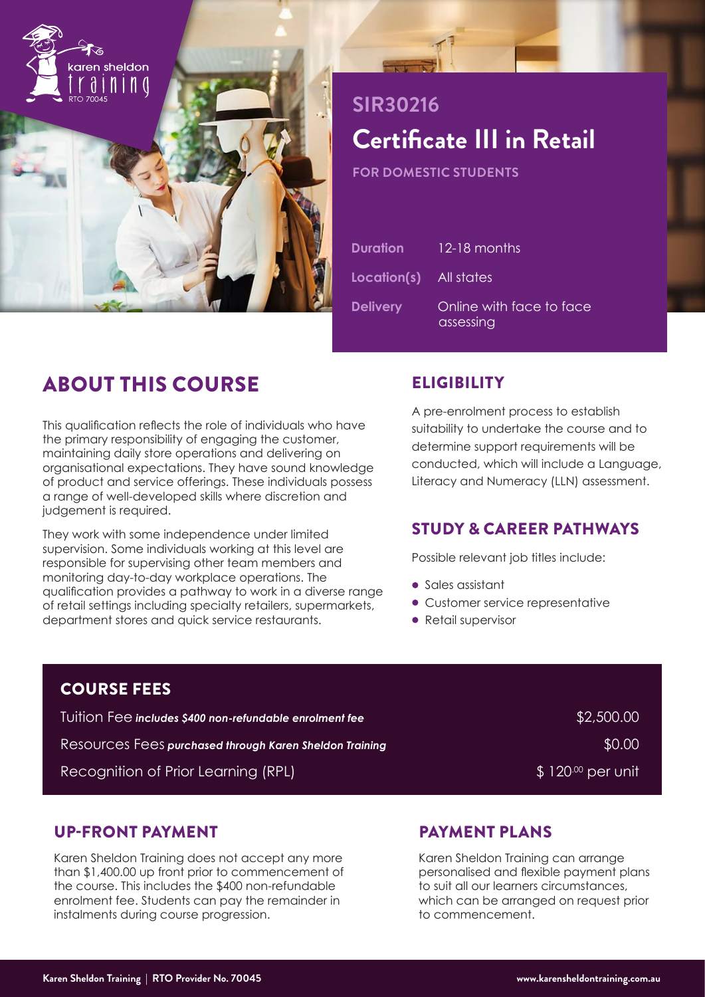

# **SIR30216 Certificate III in Retail**

**FOR DOMESTIC STUDENTS**

| <b>Duration</b>               | 12-18 months                          |
|-------------------------------|---------------------------------------|
| <b>Location(s)</b> All states |                                       |
| <b>Delivery</b>               | Online with face to face<br>assessing |

# ABOUT THIS COURSE

This qualification reflects the role of individuals who have the primary responsibility of engaging the customer, maintaining daily store operations and delivering on organisational expectations. They have sound knowledge of product and service offerings. These individuals possess a range of well-developed skills where discretion and judgement is required.

They work with some independence under limited supervision. Some individuals working at this level are responsible for supervising other team members and monitoring day-to-day workplace operations. The qualification provides a pathway to work in a diverse range of retail settings including specialty retailers, supermarkets, department stores and quick service restaurants.

# **ELIGIBILITY**

A pre-enrolment process to establish suitability to undertake the course and to determine support requirements will be conducted, which will include a Language, Literacy and Numeracy (LLN) assessment.

# STUDY & CAREER PATHWAYS

Possible relevant job titles include:

- Sales assistant
- Customer service representative
- Retail supervisor

| <b>COURSE FEES</b>                                                |                            |
|-------------------------------------------------------------------|----------------------------|
| <u>Tuition Fee i</u> ncludes \$400 non-refundable enrolment fee l | \$2,500.00                 |
| Resources Fees purchased through Karen Sheldon Training           | \$0.00                     |
| Recognition of Prior Learning (RPL)                               | $\sqrt{3}$ 120.00 per unit |

### UP-FRONT PAYMENT

Karen Sheldon Training does not accept any more than \$1,400.00 up front prior to commencement of the course. This includes the \$400 non-refundable enrolment fee. Students can pay the remainder in instalments during course progression.

# PAYMENT PLANS

Karen Sheldon Training can arrange personalised and flexible payment plans to suit all our learners circumstances, which can be arranged on request prior to commencement.